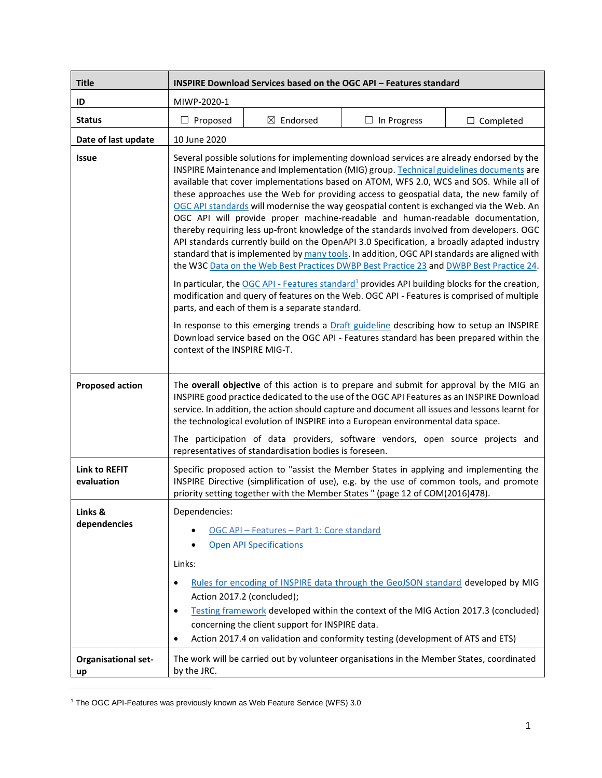| <b>Title</b>                       | INSPIRE Download Services based on the OGC API - Features standard                                                                                                                                                                                                                                                                                                                                                                                                                                                                                                                                                                                                                                                                                                                                                                                                                                                                                                                                                                                                                                                                                                                                                                                                                                                                                                                                                                 |  |  |
|------------------------------------|------------------------------------------------------------------------------------------------------------------------------------------------------------------------------------------------------------------------------------------------------------------------------------------------------------------------------------------------------------------------------------------------------------------------------------------------------------------------------------------------------------------------------------------------------------------------------------------------------------------------------------------------------------------------------------------------------------------------------------------------------------------------------------------------------------------------------------------------------------------------------------------------------------------------------------------------------------------------------------------------------------------------------------------------------------------------------------------------------------------------------------------------------------------------------------------------------------------------------------------------------------------------------------------------------------------------------------------------------------------------------------------------------------------------------------|--|--|
| ID                                 | MIWP-2020-1                                                                                                                                                                                                                                                                                                                                                                                                                                                                                                                                                                                                                                                                                                                                                                                                                                                                                                                                                                                                                                                                                                                                                                                                                                                                                                                                                                                                                        |  |  |
| <b>Status</b>                      | Proposed<br>$\boxtimes$ Endorsed<br>$\Box$ In Progress<br>$\Box$ Completed                                                                                                                                                                                                                                                                                                                                                                                                                                                                                                                                                                                                                                                                                                                                                                                                                                                                                                                                                                                                                                                                                                                                                                                                                                                                                                                                                         |  |  |
| Date of last update                | 10 June 2020                                                                                                                                                                                                                                                                                                                                                                                                                                                                                                                                                                                                                                                                                                                                                                                                                                                                                                                                                                                                                                                                                                                                                                                                                                                                                                                                                                                                                       |  |  |
| <b>Issue</b>                       | Several possible solutions for implementing download services are already endorsed by the<br>INSPIRE Maintenance and Implementation (MIG) group. Technical guidelines documents are<br>available that cover implementations based on ATOM, WFS 2.0, WCS and SOS. While all of<br>these approaches use the Web for providing access to geospatial data, the new family of<br>OGC API standards will modernise the way geospatial content is exchanged via the Web. An<br>OGC API will provide proper machine-readable and human-readable documentation,<br>thereby requiring less up-front knowledge of the standards involved from developers. OGC<br>API standards currently build on the OpenAPI 3.0 Specification, a broadly adapted industry<br>standard that is implemented by many tools. In addition, OGC API standards are aligned with<br>the W3C Data on the Web Best Practices DWBP Best Practice 23 and DWBP Best Practice 24.<br>In particular, the $OGC$ API - Features standard <sup>1</sup> provides API building blocks for the creation,<br>modification and query of features on the Web. OGC API - Features is comprised of multiple<br>parts, and each of them is a separate standard.<br>In response to this emerging trends a Draft guideline describing how to setup an INSPIRE<br>Download service based on the OGC API - Features standard has been prepared within the<br>context of the INSPIRE MIG-T. |  |  |
| <b>Proposed action</b>             | The overall objective of this action is to prepare and submit for approval by the MIG an<br>INSPIRE good practice dedicated to the use of the OGC API Features as an INSPIRE Download<br>service. In addition, the action should capture and document all issues and lessons learnt for<br>the technological evolution of INSPIRE into a European environmental data space.<br>The participation of data providers, software vendors, open source projects and<br>representatives of standardisation bodies is foreseen.                                                                                                                                                                                                                                                                                                                                                                                                                                                                                                                                                                                                                                                                                                                                                                                                                                                                                                           |  |  |
| <b>Link to REFIT</b><br>evaluation | Specific proposed action to "assist the Member States in applying and implementing the<br>INSPIRE Directive (simplification of use), e.g. by the use of common tools, and promote<br>priority setting together with the Member States " (page 12 of COM(2016)478).                                                                                                                                                                                                                                                                                                                                                                                                                                                                                                                                                                                                                                                                                                                                                                                                                                                                                                                                                                                                                                                                                                                                                                 |  |  |
| Links &<br>dependencies            | Dependencies:<br>OGC API - Features - Part 1: Core standard<br><b>Open API Specifications</b><br>Links:<br>Rules for encoding of INSPIRE data through the GeoJSON standard developed by MIG<br>$\bullet$<br>Action 2017.2 (concluded);<br>Testing framework developed within the context of the MIG Action 2017.3 (concluded)<br>$\bullet$<br>concerning the client support for INSPIRE data.<br>Action 2017.4 on validation and conformity testing (development of ATS and ETS)<br>٠                                                                                                                                                                                                                                                                                                                                                                                                                                                                                                                                                                                                                                                                                                                                                                                                                                                                                                                                              |  |  |
| <b>Organisational set-</b><br>up   | The work will be carried out by volunteer organisations in the Member States, coordinated<br>by the JRC.                                                                                                                                                                                                                                                                                                                                                                                                                                                                                                                                                                                                                                                                                                                                                                                                                                                                                                                                                                                                                                                                                                                                                                                                                                                                                                                           |  |  |

<sup>1</sup> The OGC API-Features was previously known as Web Feature Service (WFS) 3.0

l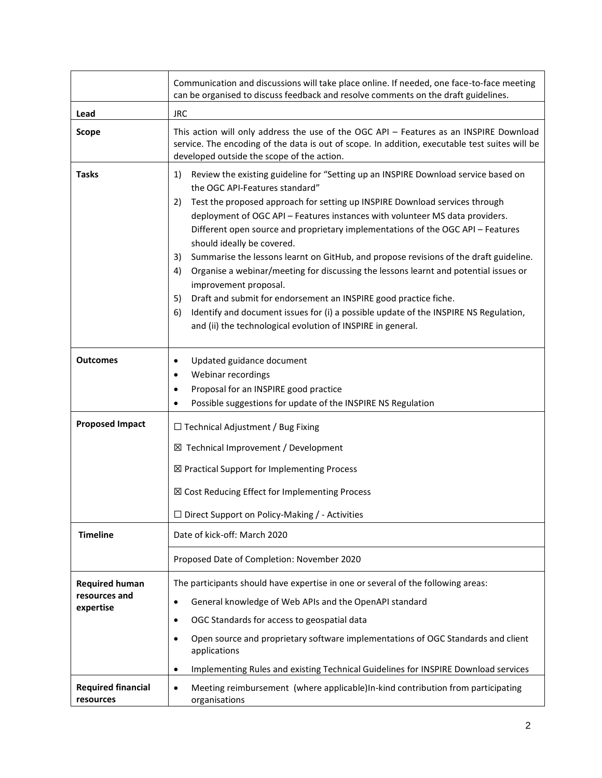|                                                     | Communication and discussions will take place online. If needed, one face-to-face meeting<br>can be organised to discuss feedback and resolve comments on the draft guidelines.                                                                                                                                                                                                                                                                                                                                                                                                                                                                                                                                                                                                                                                                                               |  |  |
|-----------------------------------------------------|-------------------------------------------------------------------------------------------------------------------------------------------------------------------------------------------------------------------------------------------------------------------------------------------------------------------------------------------------------------------------------------------------------------------------------------------------------------------------------------------------------------------------------------------------------------------------------------------------------------------------------------------------------------------------------------------------------------------------------------------------------------------------------------------------------------------------------------------------------------------------------|--|--|
| Lead                                                | <b>JRC</b>                                                                                                                                                                                                                                                                                                                                                                                                                                                                                                                                                                                                                                                                                                                                                                                                                                                                    |  |  |
| <b>Scope</b>                                        | This action will only address the use of the OGC API - Features as an INSPIRE Download<br>service. The encoding of the data is out of scope. In addition, executable test suites will be<br>developed outside the scope of the action.                                                                                                                                                                                                                                                                                                                                                                                                                                                                                                                                                                                                                                        |  |  |
| <b>Tasks</b>                                        | Review the existing guideline for "Setting up an INSPIRE Download service based on<br>1)<br>the OGC API-Features standard"<br>Test the proposed approach for setting up INSPIRE Download services through<br>2)<br>deployment of OGC API - Features instances with volunteer MS data providers.<br>Different open source and proprietary implementations of the OGC API - Features<br>should ideally be covered.<br>Summarise the lessons learnt on GitHub, and propose revisions of the draft guideline.<br>3)<br>Organise a webinar/meeting for discussing the lessons learnt and potential issues or<br>4)<br>improvement proposal.<br>Draft and submit for endorsement an INSPIRE good practice fiche.<br>5)<br>Identify and document issues for (i) a possible update of the INSPIRE NS Regulation,<br>6)<br>and (ii) the technological evolution of INSPIRE in general. |  |  |
| <b>Outcomes</b>                                     | Updated guidance document<br>$\bullet$<br>Webinar recordings<br>$\bullet$<br>Proposal for an INSPIRE good practice<br>$\bullet$<br>Possible suggestions for update of the INSPIRE NS Regulation<br>$\bullet$                                                                                                                                                                                                                                                                                                                                                                                                                                                                                                                                                                                                                                                                  |  |  |
| <b>Proposed Impact</b>                              | $\Box$ Technical Adjustment / Bug Fixing<br>⊠ Technical Improvement / Development<br>⊠ Practical Support for Implementing Process<br>⊠ Cost Reducing Effect for Implementing Process<br>□ Direct Support on Policy-Making / - Activities                                                                                                                                                                                                                                                                                                                                                                                                                                                                                                                                                                                                                                      |  |  |
| <b>Timeline</b>                                     | Date of kick-off: March 2020<br>Proposed Date of Completion: November 2020                                                                                                                                                                                                                                                                                                                                                                                                                                                                                                                                                                                                                                                                                                                                                                                                    |  |  |
|                                                     |                                                                                                                                                                                                                                                                                                                                                                                                                                                                                                                                                                                                                                                                                                                                                                                                                                                                               |  |  |
| <b>Required human</b><br>resources and<br>expertise | The participants should have expertise in one or several of the following areas:<br>General knowledge of Web APIs and the OpenAPI standard<br>$\bullet$<br>OGC Standards for access to geospatial data<br>$\bullet$<br>Open source and proprietary software implementations of OGC Standards and client<br>$\bullet$<br>applications<br>Implementing Rules and existing Technical Guidelines for INSPIRE Download services<br>$\bullet$                                                                                                                                                                                                                                                                                                                                                                                                                                       |  |  |
| <b>Required financial</b>                           | Meeting reimbursement (where applicable)In-kind contribution from participating<br>$\bullet$                                                                                                                                                                                                                                                                                                                                                                                                                                                                                                                                                                                                                                                                                                                                                                                  |  |  |
| resources                                           | organisations                                                                                                                                                                                                                                                                                                                                                                                                                                                                                                                                                                                                                                                                                                                                                                                                                                                                 |  |  |